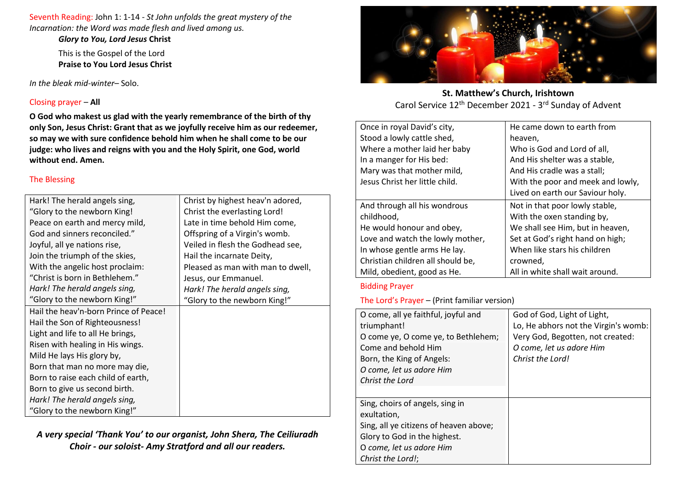Seventh Reading: John 1: 1-14 - *St John unfolds the great mystery of the Incarnation: the Word was made flesh and lived among us.*

> *Glory to You, Lord Jesus* **Christ** This is the Gospel of the Lord

**Praise to You Lord Jesus Christ**

*In the bleak mid-winter*– Solo.

## Closing prayer – **All**

**O God who makest us glad with the yearly remembrance of the birth of thy only Son, Jesus Christ: Grant that as we joyfully receive him as our redeemer, so may we with sure confidence behold him when he shall come to be our judge: who lives and reigns with you and the Holy Spirit, one God, world without end. Amen.** 

## The Blessing

| Hark! The herald angels sing,         | Christ by highest heav'n adored,  |
|---------------------------------------|-----------------------------------|
| "Glory to the newborn King!           | Christ the everlasting Lord!      |
| Peace on earth and mercy mild,        | Late in time behold Him come,     |
| God and sinners reconciled."          | Offspring of a Virgin's womb.     |
| Joyful, all ye nations rise,          | Veiled in flesh the Godhead see,  |
| Join the triumph of the skies,        | Hail the incarnate Deity,         |
| With the angelic host proclaim:       | Pleased as man with man to dwell, |
| "Christ is born in Bethlehem."        | Jesus, our Emmanuel.              |
| Hark! The herald angels sing,         | Hark! The herald angels sing,     |
| "Glory to the newborn King!"          | "Glory to the newborn King!"      |
| Hail the heav'n-born Prince of Peace! |                                   |
| Hail the Son of Righteousness!        |                                   |
| Light and life to all He brings,      |                                   |
| Risen with healing in His wings.      |                                   |
| Mild He lays His glory by,            |                                   |
| Born that man no more may die,        |                                   |
| Born to raise each child of earth,    |                                   |
| Born to give us second birth.         |                                   |
| Hark! The herald angels sing,         |                                   |
| "Glory to the newborn King!"          |                                   |

*A very special 'Thank You' to our organist, John Shera, The Ceiliuradh Choir - our soloist- Amy Stratford and all our readers.*



**St. Matthew's Church, Irishtown** Carol Service 12<sup>th</sup> December 2021 - 3<sup>rd</sup> Sunday of Advent

| Once in royal David's city,       | He came down to earth from        |
|-----------------------------------|-----------------------------------|
| Stood a lowly cattle shed,        | heaven,                           |
| Where a mother laid her baby      | Who is God and Lord of all,       |
| In a manger for His bed:          | And His shelter was a stable,     |
| Mary was that mother mild,        | And His cradle was a stall;       |
| Jesus Christ her little child.    | With the poor and meek and lowly, |
|                                   | Lived on earth our Saviour holy.  |
| And through all his wondrous      | Not in that poor lowly stable,    |
| childhood,                        | With the oxen standing by,        |
| He would honour and obey,         | We shall see Him, but in heaven,  |
| Love and watch the lowly mother,  | Set at God's right hand on high;  |
| In whose gentle arms He lay.      | When like stars his children      |
| Christian children all should be, | crowned,                          |
| Mild, obedient, good as He.       | All in white shall wait around.   |

## Bidding Prayer

The Lord's Prayer – (Print familiar version)

| O come, all ye faithful, joyful and<br>triumphant!<br>O come ye, O come ye, to Bethlehem;<br>Come and behold Him<br>Born, the King of Angels:<br>O come, let us adore Him<br>Christ the Lord | God of God, Light of Light,<br>Lo, He abhors not the Virgin's womb:<br>Very God, Begotten, not created:<br>O come, let us adore Him<br>Christ the Lord! |
|----------------------------------------------------------------------------------------------------------------------------------------------------------------------------------------------|---------------------------------------------------------------------------------------------------------------------------------------------------------|
| Sing, choirs of angels, sing in<br>exultation,<br>Sing, all ye citizens of heaven above;<br>Glory to God in the highest.<br>O come, let us adore Him<br>Christ the Lord!;                    |                                                                                                                                                         |